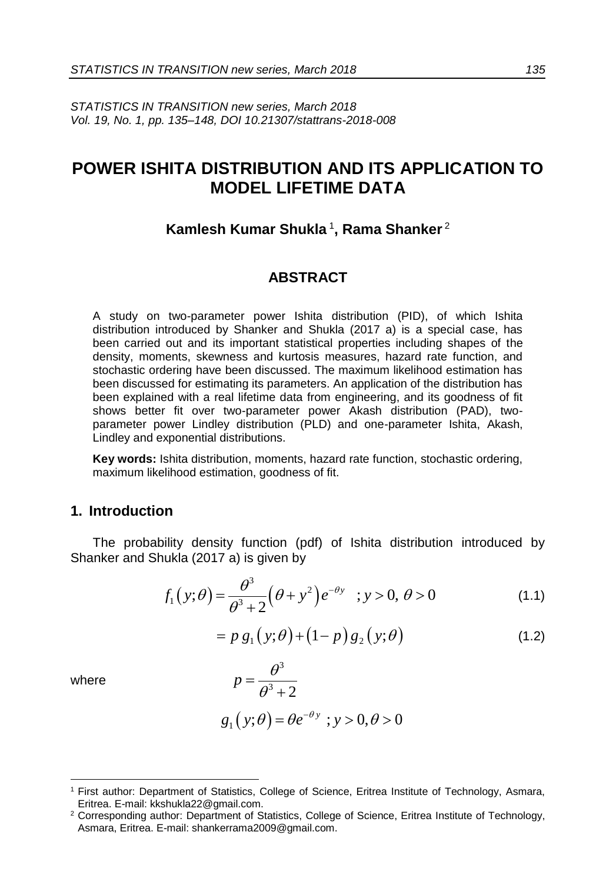*STATISTICS IN TRANSITION new series, March 2018 Vol. 19, No. 1, pp. 135–148, DOI 10.21307/stattrans-2018-008*

# **POWER ISHITA DISTRIBUTION AND ITS APPLICATION TO MODEL LIFETIME DATA**

## **Kamlesh Kumar Shukla** <sup>1</sup> **, Rama Shanker** <sup>2</sup>

## **ABSTRACT**

A study on two-parameter power Ishita distribution (PID), of which Ishita distribution introduced by Shanker and Shukla (2017 a) is a special case, has been carried out and its important statistical properties including shapes of the density, moments, skewness and kurtosis measures, hazard rate function, and stochastic ordering have been discussed. The maximum likelihood estimation has been discussed for estimating its parameters. An application of the distribution has been explained with a real lifetime data from engineering, and its goodness of fit shows better fit over two-parameter power Akash distribution (PAD), twoparameter power Lindley distribution (PLD) and one-parameter Ishita, Akash, Lindley and exponential distributions.

**Key words:** Ishita distribution, moments, hazard rate function, stochastic ordering, maximum likelihood estimation, goodness of fit.

## **1. Introduction**

The probability density function (pdf) of Ishita distribution introduced by Shanker and Shukla (2017 a) is given by

$$
f_1(y; \theta) = \frac{\theta^3}{\theta^3 + 2} (\theta + y^2) e^{-\theta y} \quad ; y > 0, \ \theta > 0
$$
 (1.1)

$$
= p g_1(y; \theta) + (1-p) g_2(y; \theta)
$$
\n(1.2)

where

-

$$
p = \frac{\theta^3}{\theta^3 + 2}
$$
  
g<sub>1</sub>(y; \theta) = \theta e^{-\theta y}; y > 0, \theta > 0

 $\sim$  2

<sup>1</sup> First author: Department of Statistics, College of Science, Eritrea Institute of Technology, Asmara, Eritrea. E-mail[: kkshukla22@gmail.com.](mailto:kkshukla22@gmail.com)

<sup>&</sup>lt;sup>2</sup> Corresponding author: Department of Statistics, College of Science, Eritrea Institute of Technology, Asmara, Eritrea. E-mail: [shankerrama2009@gmail.com.](mailto:shankerrama2009@gmail.com)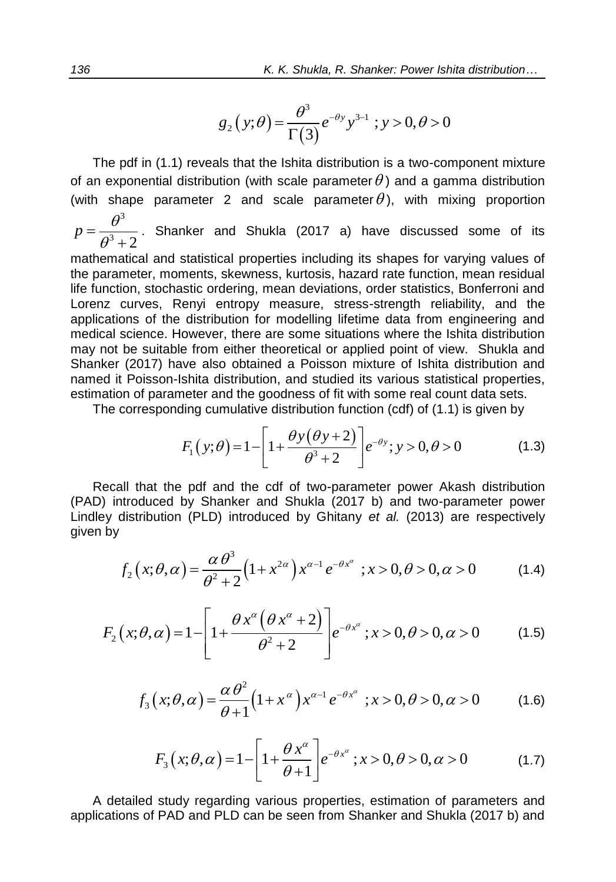$$
g_2(y;\theta) = \frac{\theta^3}{\Gamma(3)} e^{-\theta y} y^{3-1} ; y > 0, \theta > 0
$$

The pdf in (1.1) reveals that the Ishita distribution is a two-component mixture of an exponential distribution (with scale parameter  $\theta$ ) and a gamma distribution (with shape parameter 2 and scale parameter  $\theta$ ), with mixing proportion

3  $3^3 + 2$  $p=\frac{\theta}{a^3}$  $=\frac{\overline{a}}{\theta}$  $\frac{1}{2}$ . Shanker and Shukla (2017 a) have discussed some of its mathematical and statistical properties including its shapes for varying values of

the parameter, moments, skewness, kurtosis, hazard rate function, mean residual life function, stochastic ordering, mean deviations, order statistics, Bonferroni and Lorenz curves, Renyi entropy measure, stress-strength reliability, and the applications of the distribution for modelling lifetime data from engineering and medical science. However, there are some situations where the Ishita distribution may not be suitable from either theoretical or applied point of view. Shukla and Shanker (2017) have also obtained a Poisson mixture of Ishita distribution and named it Poisson-Ishita distribution, and studied its various statistical properties, estimation of parameter and the goodness of fit with some real count data sets.

The corresponding cumulative distribution function (cdf) of (1.1) is given by  
\n
$$
F_1(y; \theta) = 1 - \left[1 + \frac{\theta y(\theta y + 2)}{\theta^3 + 2}\right] e^{-\theta y}; y > 0, \theta > 0
$$
\n(1.3)

Recall that the pdf and the cdf of two-parameter power Akash distribution (PAD) introduced by Shanker and Shukla (2017 b) and two-parameter power given by

Line 1. (2013) are respectively given by

\n
$$
f_2(x; \theta, \alpha) = \frac{\alpha \theta^3}{\theta^2 + 2} \left( 1 + x^{2\alpha} \right) x^{\alpha - 1} e^{-\theta x^{\alpha}} \quad ; x > 0, \theta > 0, \alpha > 0
$$
\n(1.4)

$$
J_2(x; \theta, \alpha) = \frac{}{\theta^2 + 2} (1 + x^2) x^2 e^{-(x^2 + 2\theta)} (1.4)
$$
  

$$
F_2(x; \theta, \alpha) = 1 - \left[ 1 + \frac{\theta x^{\alpha} (\theta x^{\alpha} + 2)}{\theta^2 + 2} \right] e^{-\theta x^{\alpha}}; x > 0, \theta > 0, \alpha > 0
$$
 (1.5)

$$
\left[\begin{array}{cc} 0 & +2 \end{array}\right]
$$
  

$$
f_3(x;\theta,\alpha) = \frac{\alpha \theta^2}{\theta+1} \left(1+x^{\alpha}\right) x^{\alpha-1} e^{-\theta x^{\alpha}}; x > 0, \theta > 0, \alpha > 0 \tag{1.6}
$$

$$
\theta + 1
$$
  

$$
F_3(x; \theta, \alpha) = 1 - \left[1 + \frac{\theta x^{\alpha}}{\theta + 1}\right] e^{-\theta x^{\alpha}}; x > 0, \theta > 0, \alpha > 0 \quad (1.7)
$$

A detailed study regarding various properties, estimation of parameters and applications of PAD and PLD can be seen from Shanker and Shukla (2017 b) and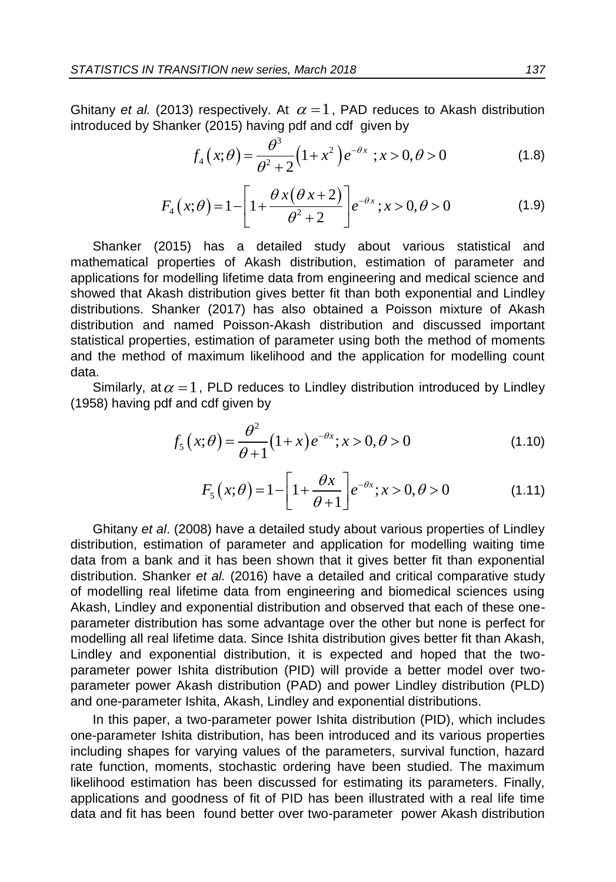Ghitany et al. (2013) respectively. At  $\alpha = 1$ , PAD reduces to Akash distribution

introduced by Shanker (2015) having pdf and cdf given by  
\n
$$
f_4(x;\theta) = \frac{\theta^3}{\theta^2 + 2} (1 + x^2) e^{-\theta x}; x > 0, \theta > 0
$$
\n(1.8)

$$
\theta^{2} + 2^{(1+x)} e^{-x}, x > 0, e > 0
$$
\n
$$
F_{4}(x; \theta) = 1 - \left[1 + \frac{\theta x(\theta x + 2)}{\theta^{2} + 2}\right] e^{-\theta x}; x > 0, \theta > 0
$$
\n(1.9)

Shanker (2015) has a detailed study about various statistical and mathematical properties of Akash distribution, estimation of parameter and applications for modelling lifetime data from engineering and medical science and showed that Akash distribution gives better fit than both exponential and Lindley distributions. Shanker (2017) has also obtained a Poisson mixture of Akash distribution and named Poisson-Akash distribution and discussed important statistical properties, estimation of parameter using both the method of moments and the method of maximum likelihood and the application for modelling count data.

Similarly, at  $\alpha = 1$ , PLD reduces to Lindley distribution introduced by Lindley (1958) having pdf and cdf given by

$$
f_5(x; \theta) = \frac{\theta^2}{\theta + 1} (1 + x) e^{-\theta x}; x > 0, \theta > 0
$$
 (1.10)

$$
\theta + 1
$$
  

$$
F_5(x; \theta) = 1 - \left[1 + \frac{\theta x}{\theta + 1}\right] e^{-\theta x}; x > 0, \theta > 0
$$
 (1.11)

Ghitany *et al*. (2008) have a detailed study about various properties of Lindley distribution, estimation of parameter and application for modelling waiting time data from a bank and it has been shown that it gives better fit than exponential distribution. Shanker *et al.* (2016) have a detailed and critical comparative study of modelling real lifetime data from engineering and biomedical sciences using Akash, Lindley and exponential distribution and observed that each of these oneparameter distribution has some advantage over the other but none is perfect for modelling all real lifetime data. Since Ishita distribution gives better fit than Akash, Lindley and exponential distribution, it is expected and hoped that the twoparameter power Ishita distribution (PID) will provide a better model over twoparameter power Akash distribution (PAD) and power Lindley distribution (PLD) and one-parameter Ishita, Akash, Lindley and exponential distributions.

In this paper, a two-parameter power Ishita distribution (PID), which includes one-parameter Ishita distribution, has been introduced and its various properties including shapes for varying values of the parameters, survival function, hazard rate function, moments, stochastic ordering have been studied. The maximum likelihood estimation has been discussed for estimating its parameters. Finally, applications and goodness of fit of PID has been illustrated with a real life time data and fit has been found better over two-parameter power Akash distribution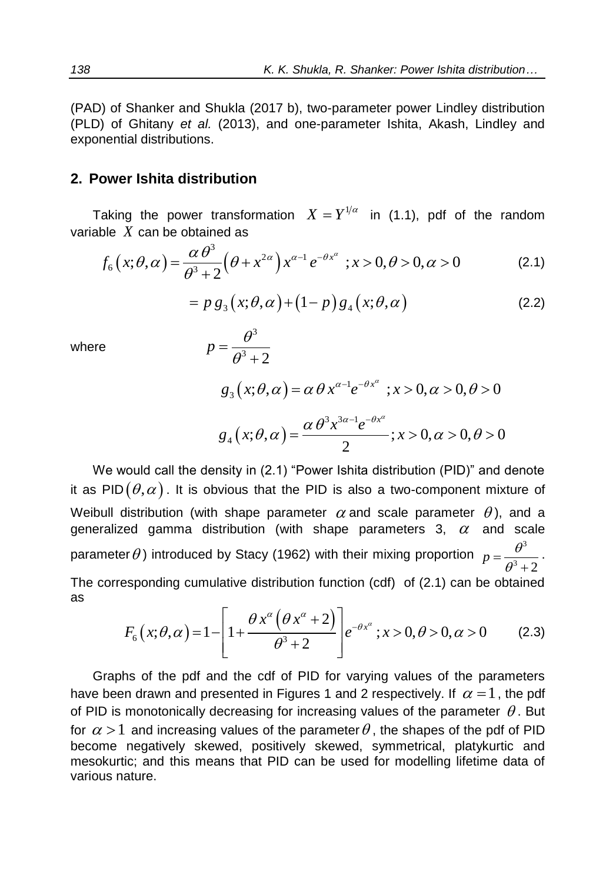(PAD) of Shanker and Shukla (2017 b), two-parameter power Lindley distribution (PLD) of Ghitany *et al.* (2013), and one-parameter Ishita, Akash, Lindley and exponential distributions.

## **2. Power Ishita distribution**

Taking the power transformation 
$$
X = Y^{1/\alpha}
$$
 in (1.1), pdf of the random  
variable X can be obtained as  

$$
f_6(x; \theta, \alpha) = \frac{\alpha \theta^3}{\theta^3 + 2} (\theta + x^{2\alpha}) x^{\alpha - 1} e^{-\theta x^{\alpha}}; x > 0, \theta > 0, \alpha > 0
$$
(2.1)

$$
= p g_3(x; \theta, \alpha) + (1-p) g_4(x; \theta, \alpha)
$$
 (2.2)

where

where  
\n
$$
p = \frac{\theta^3}{\theta^3 + 2}
$$
\n
$$
g_3(x; \theta, \alpha) = \alpha \theta x^{\alpha - 1} e^{-\theta x^{\alpha}}; x > 0, \alpha > 0, \theta > 0
$$
\n
$$
g_4(x; \theta, \alpha) = \frac{\alpha \theta^3 x^{3\alpha - 1} e^{-\theta x^{\alpha}}}{2}; x > 0, \alpha > 0, \theta > 0
$$

We would call the density in (2.1) "Power Ishita distribution (PID)" and denote it as PID $(\theta,\alpha)$  . It is obvious that the PID is also a two-component mixture of Weibull distribution (with shape parameter  $\alpha$  and scale parameter  $\theta$ ), and a generalized gamma distribution (with shape parameters 3,  $\alpha$  and scale parameter  $\theta$ ) introduced by Stacy (1962) with their mixing proportion  $p = \frac{\theta^3}{\sigma^2}$  $3^3 + 2$  $p=\frac{\theta}{a^3}$  $=\frac{\overline{a}}{\theta}$  $\ddot{}$ . The corresponding cumulative distribution function (cdf) of (2.1) can be obtained<br>as<br> $F_x(x;\theta,\alpha) = 1 - \left[1 + \frac{\theta x^{\alpha} (\theta x^{\alpha} + 2)}{e^{-\theta x^{\alpha}} (x > 0, \theta > 0, \alpha > 0)}\right]$  (2.3) as  $\alpha$  ( $\theta x^{\alpha}$  + 2)

$$
F_6(x; \theta, \alpha) = 1 - \left[1 + \frac{\theta x^{\alpha} (\theta x^{\alpha} + 2)}{\theta^3 + 2}\right] e^{-\theta x^{\alpha}}; x > 0, \theta > 0, \alpha > 0 \quad (2.3)
$$

Graphs of the pdf and the cdf of PID for varying values of the parameters have been drawn and presented in Figures 1 and 2 respectively. If  $\alpha = 1$ , the pdf of PID is monotonically decreasing for increasing values of the parameter  $\theta$ . But for  $\alpha$  > 1 and increasing values of the parameter  $\theta$  , the shapes of the pdf of PID become negatively skewed, positively skewed, symmetrical, platykurtic and mesokurtic; and this means that PID can be used for modelling lifetime data of various nature.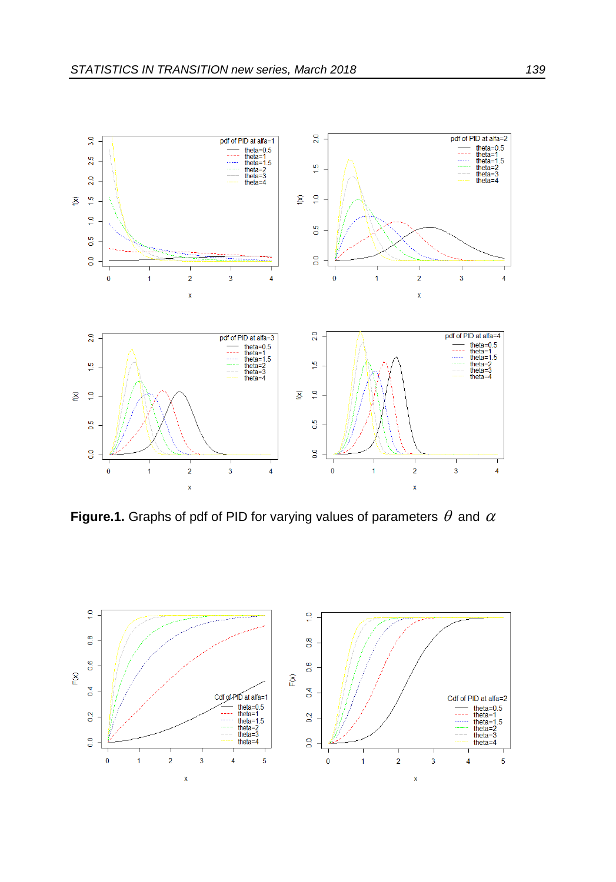

**Figure.1.** Graphs of pdf of PID for varying values of parameters  $\theta$  and  $\alpha$ 

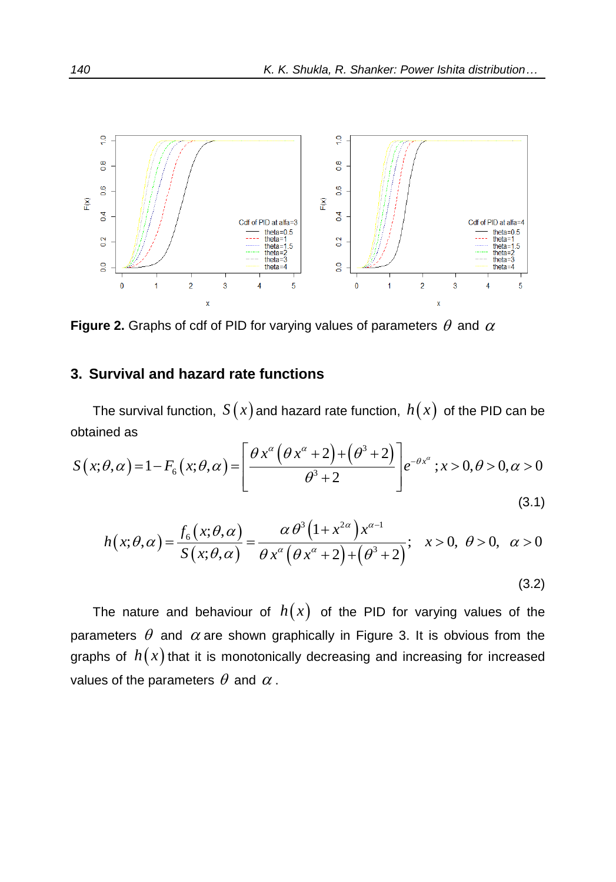

**Figure 2.** Graphs of cdf of PID for varying values of parameters  $\theta$  and  $\alpha$ 

## **3. Survival and hazard rate functions**

The survival function,  $\,S\,(x)$  and hazard rate function,  $\,h(x)\,$  of the PID can be obtained as rate functio<br>  $\frac{2+2}{2}$ and haz ) and hazard rate function,  $h(x)$ <br> $\theta x^{\alpha} (\theta x^{\alpha} + 2) + (\theta^3 + 2)$ <br> $e^{-\theta x^{\alpha}}$ x) and hazard rate function,  $h(x)$  of the<br> $\left[\frac{\theta x^{\alpha}(\theta x^{\alpha}+2)+(\theta^3+2)}{2}\right]_{e^{-\theta x^{\alpha}}};x>0,0$ 

The survival function, 
$$
S(x)
$$
 and hazard rate function,  $h(x)$  of the PID can be obtained as  
\n
$$
S(x; \theta, \alpha) = 1 - F_6(x; \theta, \alpha) = \left[ \frac{\theta x^{\alpha} (\theta x^{\alpha} + 2) + (\theta^3 + 2)}{\theta^3 + 2} \right] e^{-\theta x^{\alpha}}; x > 0, \theta > 0, \alpha > 0
$$
\n(3.1)  
\n
$$
h(x; \theta, \alpha) = \frac{f_6(x; \theta, \alpha)}{\theta} = \frac{\alpha \theta^3 (1 + x^{2\alpha}) x^{\alpha-1}}{\theta^3 + 2 \theta^2}; x > 0, \theta > 0, \alpha > 0
$$

$$
h(x; \theta, \alpha) = \frac{f_6(x; \theta, \alpha)}{S(x; \theta, \alpha)} = \frac{\alpha \theta^3 (1 + x^{2\alpha}) x^{\alpha - 1}}{\theta x^{\alpha} (\theta x^{\alpha} + 2) + (\theta^3 + 2)}; \quad x > 0, \quad \theta > 0, \quad \alpha > 0
$$
\n(3.2)

The nature and behaviour of  $h(x)$  of the PID for varying values of the parameters  $\theta$  and  $\alpha$  are shown graphically in Figure 3. It is obvious from the graphs of  $h(x)$  that it is monotonically decreasing and increasing for increased values of the parameters  $\theta$  and  $\alpha$  .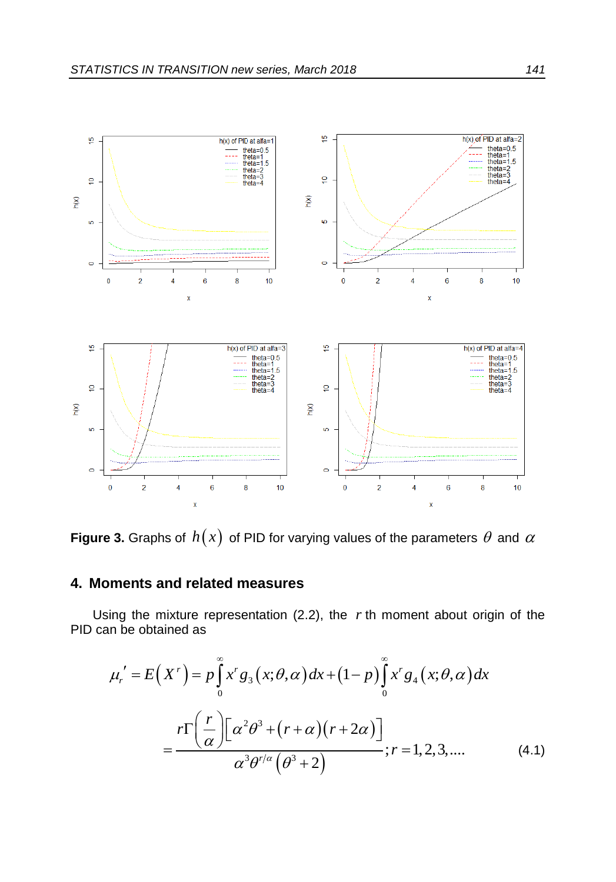

**Figure 3.** Graphs of  $h(x)$  of PID for varying values of the parameters  $\theta$  and  $\alpha$ 

## **4. Moments and related measures**

PID can be obtained as

Using the mixture representation (2.2), the *r*th moment about origin of the  
\nPID can be obtained as\n
$$
\mu_r' = E(X^r) = p \int_0^\infty x^r g_3(x; \theta, \alpha) dx + (1-p) \int_0^\infty x^r g_4(x; \theta, \alpha) dx
$$
\n
$$
= \frac{r \Gamma\left(\frac{r}{\alpha}\right) \left[\alpha^2 \theta^3 + (r+\alpha)(r+2\alpha)\right]}{\alpha^3 \theta^{r/\alpha} (\theta^3 + 2)}; r = 1, 2, 3, .... \tag{4.1}
$$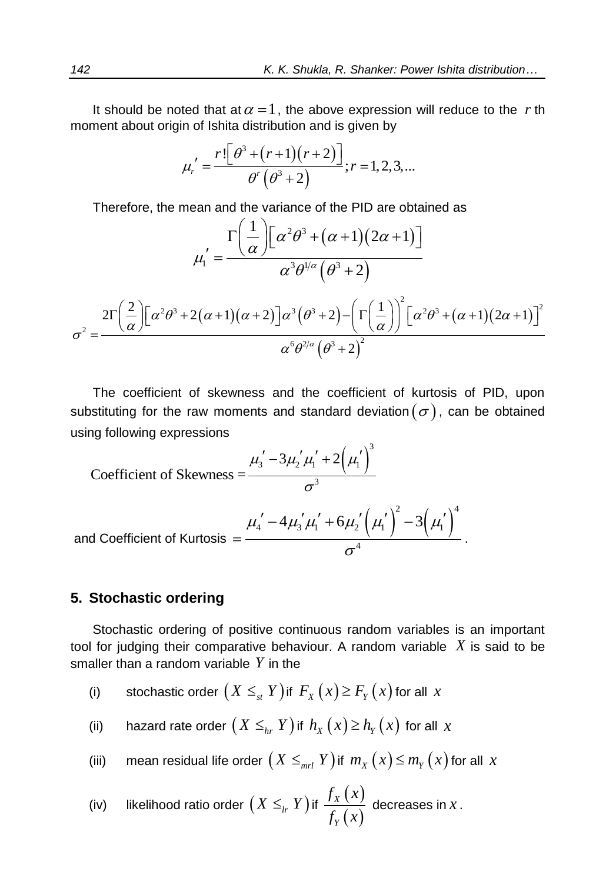It should be noted that at  $\alpha = 1$ , the above expression will reduce to the r th

moment about origin of Ishita distribution and is given by  
\n
$$
\mu'_r = \frac{r! \left[\theta^3 + (r+1)(r+2)\right]}{\theta^r \left(\theta^3 + 2\right)}; r = 1, 2, 3, ...
$$

Therefore, the mean and the variance of the PID are obtained as  

$$
\mu_1' = \frac{\Gamma\left(\frac{1}{\alpha}\right)\left[\alpha^2\theta^3 + (\alpha+1)(2\alpha+1)\right]}{\alpha^3\theta^{1/\alpha}(\theta^3+2)}
$$

$$
\mu_1' = \frac{(\alpha)^{\perp}}{\alpha^3 \theta^{1/\alpha} (\theta^3 + 2)}
$$

$$
\sigma^2 = \frac{2\Gamma\left(\frac{2}{\alpha}\right)\left[\alpha^2 \theta^3 + 2(\alpha + 1)(\alpha + 2)\right]\alpha^3 (\theta^3 + 2) - \left[\Gamma\left(\frac{1}{\alpha}\right)\right]^2 \left[\alpha^2 \theta^3 + (\alpha + 1)(2\alpha + 1)\right]^2}{\alpha^6 \theta^{2/\alpha} (\theta^3 + 2)^2}
$$

The coefficient of skewness and the coefficient of kurtosis of PID, upon substituting for the raw moments and standard deviation $(\sigma),$  can be obtained using following expressions

using following expressions  
\nCoefficient of Skewness = 
$$
\frac{\mu'_3 - 3\mu'_2'\mu'_1 + 2(\mu'_1)^3}{\sigma^3}
$$
\nand Coefficient of Kurtosis = 
$$
\frac{\mu'_4 - 4\mu'_3'\mu'_1 + 6\mu'_2(\mu'_1)^2 - 3(\mu'_1)^4}{\sigma^4}.
$$

#### **5. Stochastic ordering**

Stochastic ordering of positive continuous random variables is an important tool for judging their comparative behaviour. A random variable *X* is said to be smaller than a random variable *Y* in the

- (i) stochastic order  $\big(X\leq_{_{st}} Y\big)$  if  $\,F_{_X}\big(x\big)\!\geq\! F_{_Y}\big(x\big)$  for all  $\,x$
- (ii) hazard rate order  $\left(X\leq_{_{hr}} Y\right)$  if  $\,_h_X\left(x\right)\geq h_{_Y}\left(x\right) \,$  for all  $\,x$
- (iii)  $\quad$  mean residual life order  $\big(X\leq_{_{mrl}} Y\big)$  if  $\,m_X\big(X\big)\!\leq\! m_{_Y}\big(X\big)$  for all  $\,X\,$

(iv) likelihood ratio order 
$$
(X \leq_{lr} Y)
$$
 if  $\frac{f_X(x)}{f_Y(x)}$  decreases in x.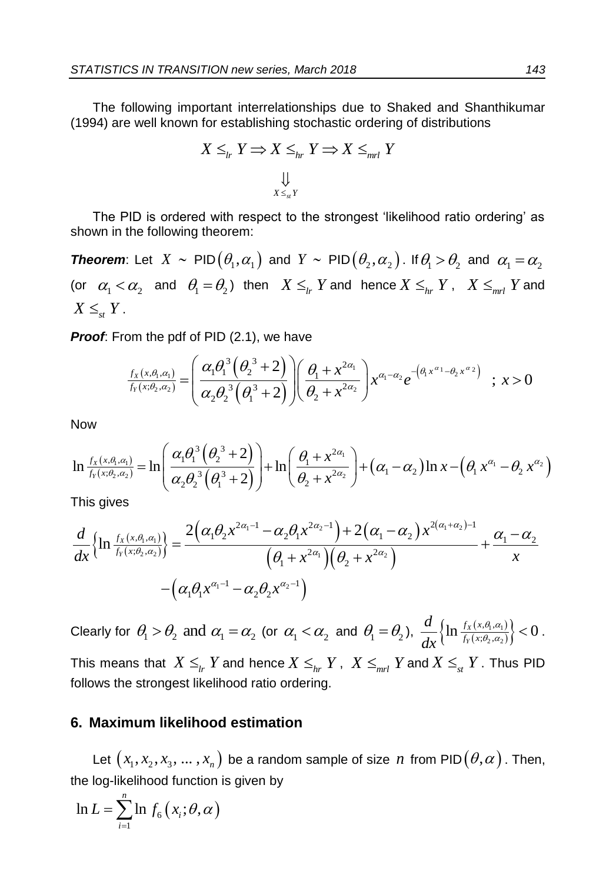The following important interrelationships due to Shaked and Shanthikumar (1994) are well known for establishing stochastic ordering of distributions

$$
X \leq_{lr} Y \Rightarrow X \leq_{hr} Y \Rightarrow X \leq_{mrl} Y
$$

The PID is ordered with respect to the strongest 'likelihood ratio ordering' as shown in the following theorem:

**Theorem:** Let  $X \sim \text{PID}(\theta_1, \alpha_1)$  and  $Y \sim \text{PID}(\theta_2, \alpha_2)$ . If  $\theta_1 > \theta_2$  and  $\alpha_1 = \alpha_2$ (or  $\alpha_1 < \alpha_2$  and  $\theta_1 = \theta_2$ ) then  $X \leq_{lr} Y$  and hence  $X \leq_{hr} Y$ ,  $X \leq_{mrl} Y$  and  $X \leq_{st} Y$ .

**Proof:** From the pdf of PID (2.1), we have\n
$$
\frac{f_X(x,\theta,\alpha_1)}{f_Y(x;\theta_2,\alpha_2)} = \left(\frac{\alpha_1 \theta_1^3 (\theta_2^3 + 2)}{\alpha_2 \theta_2^3 (\theta_1^3 + 2)}\right) \left(\frac{\theta_1 + x^{2\alpha_1}}{\theta_2 + x^{2\alpha_2}}\right) x^{\alpha_1 - \alpha_2} e^{-\left(\theta_1 x^{\alpha_1} - \theta_2 x^{\alpha_2}\right)} \quad ; \ x > 0
$$

Now

Now  
\n
$$
\left(\alpha_{2}\theta_{2}^{3}(\theta_{1}^{3}+2)\right)(\theta_{2}+x^{2\alpha_{2}})
$$
\nNow  
\n
$$
\ln \frac{f_{X}(x,\theta_{1},\alpha_{1})}{f_{Y}(x,\theta_{2},\alpha_{2})} = \ln \left(\frac{\alpha_{1}\theta_{1}^{3}(\theta_{2}^{3}+2)}{\alpha_{2}\theta_{2}^{3}(\theta_{1}^{3}+2)}\right) + \ln \left(\frac{\theta_{1}+x^{2\alpha_{1}}}{\theta_{2}+x^{2\alpha_{2}}}\right) + (\alpha_{1}-\alpha_{2})\ln x - (\theta_{1}x^{\alpha_{1}}-\theta_{2}x^{\alpha_{2}})
$$
\nThis gives  
\n
$$
\frac{d}{d\ln \frac{f_{X}(x,\theta_{1},\alpha_{1})}{\theta_{1}}}\left(\frac{2(\alpha_{1}\theta_{2}x^{2\alpha_{1}-1}-\alpha_{2}\theta_{1}x^{2\alpha_{2}-1}) + 2(\alpha_{1}-\alpha_{2})x^{2(\alpha_{1}+\alpha_{2})-1}}{\theta_{1}+2(\alpha_{1}-\alpha_{2})x^{2(\alpha_{1}+\alpha_{2})-1}} + \frac{\alpha_{1}-\alpha_{2}}{\theta_{1}+2\alpha_{2}}\right)
$$

This gives

$$
\int_{f_Y(x;\theta_2,\alpha_2)}^{f_Y(x;\theta_2,\alpha_2)} \cdots \left( \alpha_2 \theta_2^3 \left( \theta_1^3 + 2 \right) \right)^{1-\alpha_2} \left( \theta_2 + x^{2\alpha_2} \right)^{1-(\alpha_1 - \alpha_2)} \cdots \left( \theta_1 \right)^{1-\alpha_2}
$$
\nThis gives\n
$$
\frac{d}{dx} \left\{ \ln \frac{f_X(x;\theta_1,\alpha_1)}{f_Y(x;\theta_2,\alpha_2)} \right\} = \frac{2 \left( \alpha_1 \theta_2 x^{2\alpha_1 - 1} - \alpha_2 \theta_1 x^{2\alpha_2 - 1} \right) + 2 \left( \alpha_1 - \alpha_2 \right) x^{2(\alpha_1 + \alpha_2) - 1}}{\left( \theta_1 + x^{2\alpha_1} \right) \left( \theta_2 + x^{2\alpha_2} \right)} + \frac{\alpha_1 - \alpha_2}{x}
$$
\n
$$
- \left( \alpha_1 \theta_1 x^{\alpha_1 - 1} - \alpha_2 \theta_2 x^{\alpha_2 - 1} \right)
$$

Clearly for  $\theta_1 > \theta_2$  and  $\alpha_1 = \alpha_2$  (or  $\alpha_1 < \alpha_2$  and  $\theta_1 = \theta_2$ ),  $\frac{d}{dx}\Big\{\ln \frac{f_X(x,\theta_1,\alpha_1)}{f_Y(x;\theta_2,\alpha_2)}\Big\}$  $, \alpha$ <sub>2</sub>  $, \theta$ <sub>1</sub>,  $\ln \frac{f_X(x, \theta_1, \alpha_1)}{f_Y(x; \theta_2, \alpha_2)} \Big\} < 0$  $f_X(x)$  $\frac{f_Y(x)}{f_Y(x)}$ *d dx*  $\theta_1, \alpha_1$  $\frac{\partial_{1},\alpha_{1}}{\partial_{2},\alpha_{2}}$  < 0. This means that  $X \leq_{_{lr}} Y$  and hence  $X \leq_{_{hr}} Y$  ,  $X \leq_{_{mrl}} Y$  and  $X \leq_{_{st}} Y$  . Thus PID follows the strongest likelihood ratio ordering.

#### **6. Maximum likelihood estimation**

Let  $\big(x_1, x_2, x_3, ..., x_n\big)$  be a random sample of size  $\,n\,$  from PID $\big(\theta, \alpha\big)$  . Then, the log-likelihood function is given by

$$
\ln L = \sum_{i=1}^{n} \ln f_6(x_i; \theta, \alpha)
$$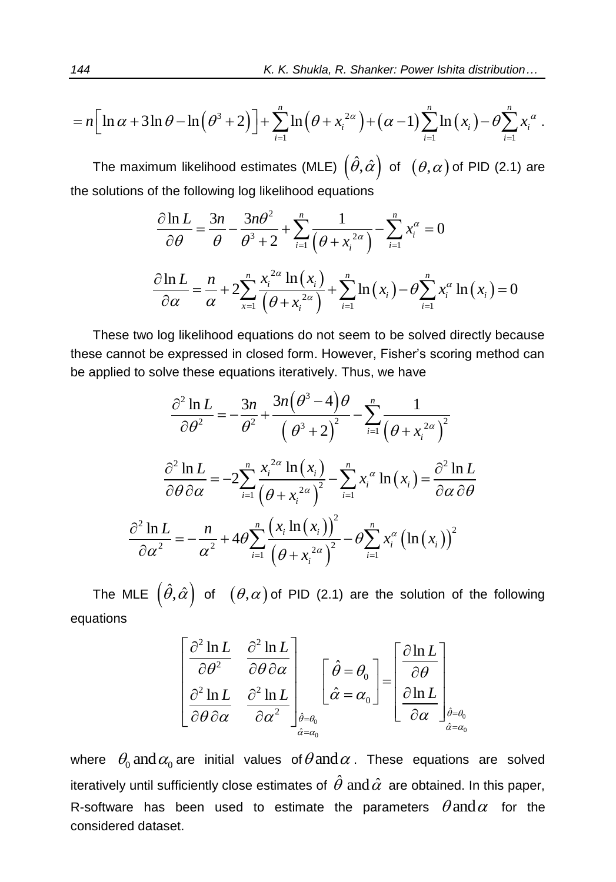144  
\nK. K. Shukla, R. Shanker: Power Ishita distribution...  
\n
$$
= n \Big[ \ln \alpha + 3 \ln \theta - \ln \left( \theta^3 + 2 \right) \Big] + \sum_{i=1}^n \ln \left( \theta + x_i^{2\alpha} \right) + \left( \alpha - 1 \right) \sum_{i=1}^n \ln \left( x_i \right) - \theta \sum_{i=1}^n x_i^{\alpha}.
$$

The maximum likelihood estimates (MLE)  $\left(\hat{\theta},\hat{\alpha}\right)$  of  $\;\;(\theta,\alpha)$  of PID (2.1) are

the solutions of the following log likelihood equations  
\n
$$
\frac{\partial \ln L}{\partial \theta} = \frac{3n}{\theta} - \frac{3n\theta^2}{\theta^3 + 2} + \sum_{i=1}^n \frac{1}{(\theta + x_i^{2\alpha})} - \sum_{i=1}^n x_i^{\alpha} = 0
$$
\n
$$
\frac{\partial \ln L}{\partial \alpha} = \frac{n}{\alpha} + 2\sum_{i=1}^n \frac{x_i^{2\alpha} \ln(x_i)}{(\theta + x_i^{2\alpha})} + \sum_{i=1}^n \ln(x_i) - \theta \sum_{i=1}^n x_i^{\alpha} \ln(x_i) = 0
$$

These two log likelihood equations do not seem to be solved directly because these cannot be expressed in closed form. However, Fisher's scoring method can

be applied to solve these equations iteratively. Thus, we have  
\n
$$
\frac{\partial^2 \ln L}{\partial \theta^2} = -\frac{3n}{\theta^2} + \frac{3n(\theta^3 - 4)\theta}{(\theta^3 + 2)^2} - \sum_{i=1}^n \frac{1}{(\theta + x_i^{2\alpha})^2}
$$
\n
$$
\frac{\partial^2 \ln L}{\partial \theta \partial \alpha} = -2\sum_{i=1}^n \frac{x_i^{2\alpha} \ln(x_i)}{(\theta + x_i^{2\alpha})^2} - \sum_{i=1}^n x_i^{\alpha} \ln(x_i) = \frac{\partial^2 \ln L}{\partial \alpha \partial \theta}
$$
\n
$$
\frac{\partial^2 \ln L}{\partial \alpha^2} = -\frac{n}{\alpha^2} + 4\theta \sum_{i=1}^n \frac{(x_i \ln(x_i))^2}{(\theta + x_i^{2\alpha})^2} - \theta \sum_{i=1}^n x_i^{\alpha} (\ln(x_i))^2
$$

The MLE  $\left(\hat{\theta},\hat{\alpha}\right)$  of  $\;\;(\theta,\alpha)$  of PID (2.1) are the solution of the following equations

$$
\begin{bmatrix}\n\frac{\partial^2 \ln L}{\partial \theta^2} & \frac{\partial^2 \ln L}{\partial \theta \partial \alpha} \\
\frac{\partial^2 \ln L}{\partial \theta \partial \alpha} & \frac{\partial^2 \ln L}{\partial \alpha^2}\n\end{bmatrix}_{\hat{\theta} = \theta_0}\n\begin{bmatrix}\n\hat{\theta} = \theta_0 \\
\hat{\alpha} = \alpha_0\n\end{bmatrix}\n=\n\begin{bmatrix}\n\frac{\partial \ln L}{\partial \theta} \\
\frac{\partial \ln L}{\partial \alpha}\n\end{bmatrix}_{\hat{\theta} = \theta_0}\n\begin{bmatrix}\n\frac{\partial \ln L}{\partial \theta} \\
\frac{\partial \ln L}{\partial \alpha}\n\end{bmatrix}_{\hat{\theta} = \theta_0}\n\begin{bmatrix}\n\frac{\partial \ln L}{\partial \theta} \\
\frac{\partial \ln L}{\partial \alpha}\n\end{bmatrix}_{\hat{\theta} = \theta_0}\n\begin{bmatrix}\n\frac{\partial \ln L}{\partial \theta} \\
\frac{\partial \ln L}{\partial \theta}\n\end{bmatrix}_{\hat{\theta} = \theta_0}
$$

where  $\theta_0$  and  $\alpha_0$  are initial values of  $\theta$  and  $\alpha$  . These equations are solved iteratively until sufficiently close estimates of  $\,\hat{\theta}\,$  and  $\hat{\alpha}\,$  are obtained. In this paper, R-software has been used to estimate the parameters  $\theta$  and  $\alpha$  for the considered dataset.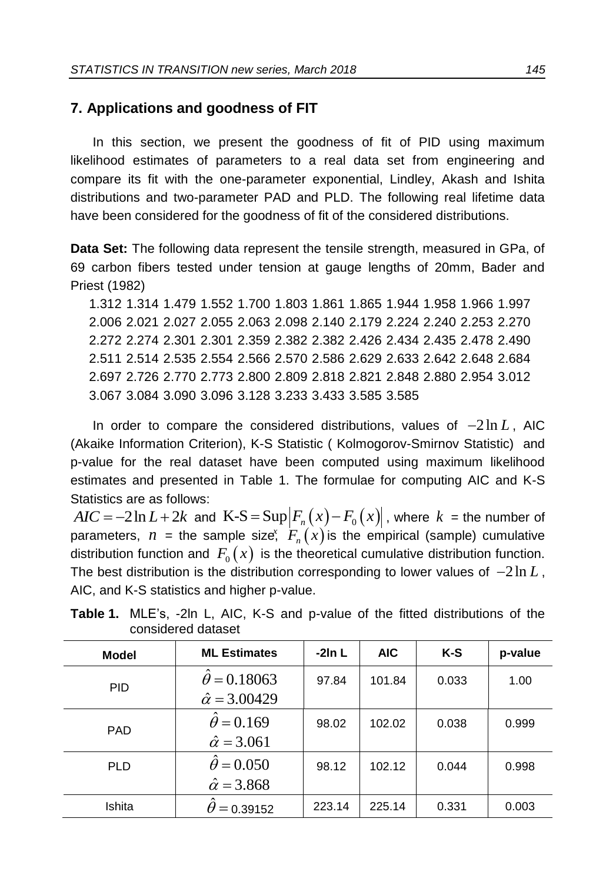## **7. Applications and goodness of FIT**

In this section, we present the goodness of fit of PID using maximum likelihood estimates of parameters to a real data set from engineering and compare its fit with the one-parameter exponential, Lindley, Akash and Ishita distributions and two-parameter PAD and PLD. The following real lifetime data have been considered for the goodness of fit of the considered distributions.

**Data Set:** The following data represent the tensile strength, measured in GPa, of 69 carbon fibers tested under tension at gauge lengths of 20mm, Bader and Priest (1982)

 1.312 1.314 1.479 1.552 1.700 1.803 1.861 1.865 1.944 1.958 1.966 1.997 2.006 2.021 2.027 2.055 2.063 2.098 2.140 2.179 2.224 2.240 2.253 2.270 2.272 2.274 2.301 2.301 2.359 2.382 2.382 2.426 2.434 2.435 2.478 2.490 2.511 2.514 2.535 2.554 2.566 2.570 2.586 2.629 2.633 2.642 2.648 2.684 2.697 2.726 2.770 2.773 2.800 2.809 2.818 2.821 2.848 2.880 2.954 3.012 3.067 3.084 3.090 3.096 3.128 3.233 3.433 3.585 3.585

In order to compare the considered distributions, values of  $-2\ln L$ , AIC (Akaike Information Criterion), K-S Statistic ( Kolmogorov-Smirnov Statistic) and p-value for the real dataset have been computed using maximum likelihood estimates and presented in Table 1. The formulae for computing AIC and K-S Statistics are as follows:

 $AIC = -2\ln L + 2k$  and  $\text{K-S} = \text{Sup} \left| F_n(x) - F_0(x) \right|$ , where  $k =$  the number of parameters,  $n =$  the sample size,  $F_n(x)$  is the empirical (sample) cumulative distribution function and  $F_0(x)$  is the theoretical cumulative distribution function. The best distribution is the distribution corresponding to lower values of  $-2\ln L$ , AIC, and K-S statistics and higher p-value.

| <b>Model</b> | <b>ML Estimates</b>                               | $-2ln L$ | <b>AIC</b> | K-S   | p-value |
|--------------|---------------------------------------------------|----------|------------|-------|---------|
| <b>PID</b>   | $\theta = 0.18063$<br>$\hat{\alpha} = 3.00429$    | 97.84    | 101.84     | 0.033 | 1.00    |
| <b>PAD</b>   | $\ddot{\theta} = 0.169$<br>$\hat{\alpha} = 3.061$ | 98.02    | 102.02     | 0.038 | 0.999   |
| <b>PLD</b>   | $\theta$ = 0.050<br>$\hat{\alpha} = 3.868$        | 98.12    | 102.12     | 0.044 | 0.998   |
| Ishita       | $\theta$ = 0.39152                                | 223.14   | 225.14     | 0.331 | 0.003   |

**Table 1.** MLE's, -2ln L, AIC, K-S and p-value of the fitted distributions of the considered dataset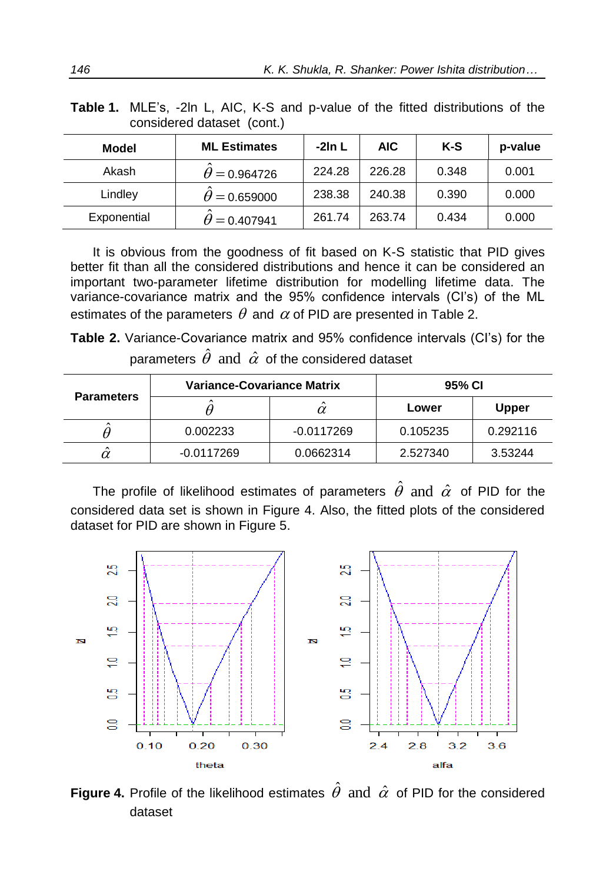| Model       | <b>ML Estimates</b> | -2In L | <b>AIC</b> | K-S   | p-value |  |
|-------------|---------------------|--------|------------|-------|---------|--|
| Akash       | $\theta = 0.964726$ | 224.28 | 226.28     | 0.348 | 0.001   |  |
| Lindley     | $\theta = 0.659000$ | 238.38 | 240.38     | 0.390 | 0.000   |  |
| Exponential | $\theta = 0.407941$ | 261.74 | 263.74     | 0.434 | 0.000   |  |

**Table 1.** MLE's, -2ln L, AIC, K-S and p-value of the fitted distributions of the considered dataset (cont.)

It is obvious from the goodness of fit based on K-S statistic that PID gives better fit than all the considered distributions and hence it can be considered an important two-parameter lifetime distribution for modelling lifetime data. The variance-covariance matrix and the 95% confidence intervals (CI's) of the ML estimates of the parameters  $\theta$  and  $\alpha$  of PID are presented in Table 2.

**Table 2.** Variance-Covariance matrix and 95% confidence intervals (CI's) for the parameters  $\hat{\theta}$  and  $\,\hat{\alpha}\,$  of the considered dataset

| <b>Parameters</b> | <b>Variance-Covariance Matrix</b> |              | 95% CI   |          |  |
|-------------------|-----------------------------------|--------------|----------|----------|--|
|                   |                                   |              | Lower    | Upper    |  |
|                   | 0.002233                          | $-0.0117269$ | 0.105235 | 0.292116 |  |
| $\alpha$          | -0.0117269                        | 0.0662314    | 2.527340 | 3.53244  |  |

The profile of likelihood estimates of parameters  $\,\hat{\theta}\,$  and  $\,\hat{\alpha}\,$  of PID for the considered data set is shown in Figure 4. Also, the fitted plots of the considered dataset for PID are shown in Figure 5.



Figure 4. Profile of the likelihood estimates  $\hat{\theta}$  and  $\hat{\alpha}$  of PID for the considered dataset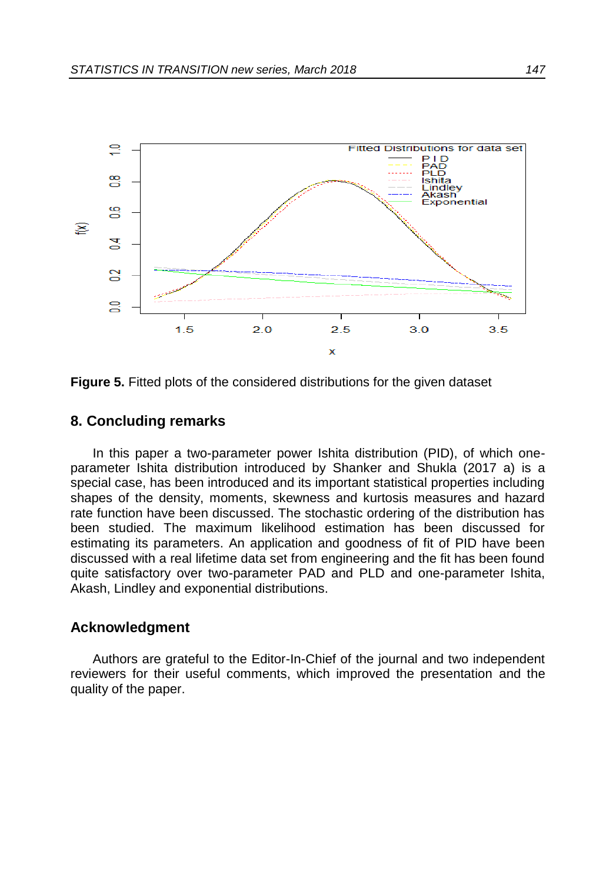

**Figure 5.** Fitted plots of the considered distributions for the given dataset

#### **8. Concluding remarks**

In this paper a two-parameter power Ishita distribution (PID), of which oneparameter Ishita distribution introduced by Shanker and Shukla (2017 a) is a special case, has been introduced and its important statistical properties including shapes of the density, moments, skewness and kurtosis measures and hazard rate function have been discussed. The stochastic ordering of the distribution has been studied. The maximum likelihood estimation has been discussed for estimating its parameters. An application and goodness of fit of PID have been discussed with a real lifetime data set from engineering and the fit has been found quite satisfactory over two-parameter PAD and PLD and one-parameter Ishita, Akash, Lindley and exponential distributions.

#### **Acknowledgment**

Authors are grateful to the Editor-In-Chief of the journal and two independent reviewers for their useful comments, which improved the presentation and the quality of the paper.